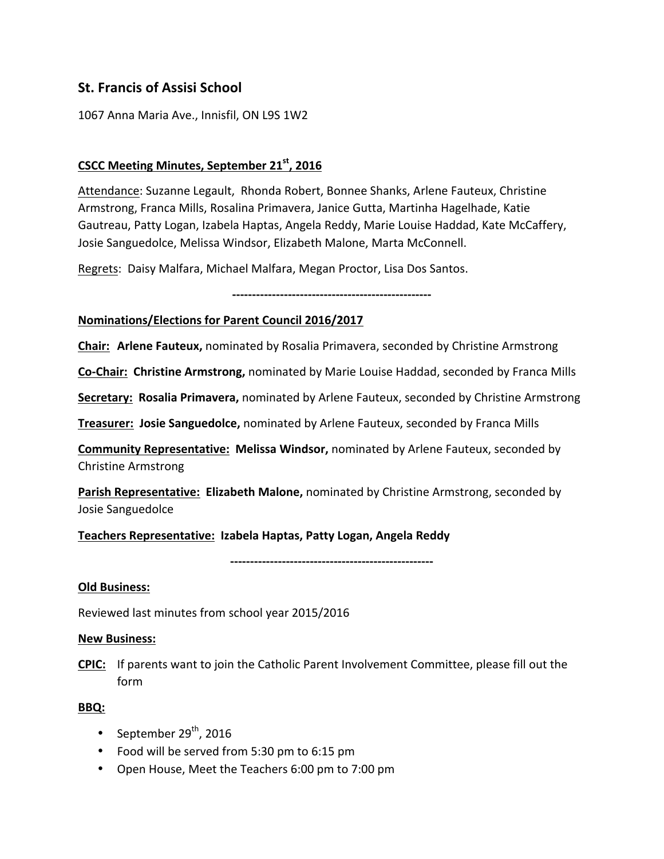# **St. Francis of Assisi School**

1067 Anna Maria Ave., Innisfil, ON L9S 1W2

# **CSCC Meeting Minutes, September 21st, 2016**

Attendance: Suzanne Legault, Rhonda Robert, Bonnee Shanks, Arlene Fauteux, Christine Armstrong, Franca Mills, Rosalina Primavera, Janice Gutta, Martinha Hagelhade, Katie Gautreau, Patty Logan, Izabela Haptas, Angela Reddy, Marie Louise Haddad, Kate McCaffery, Josie Sanguedolce, Melissa Windsor, Elizabeth Malone, Marta McConnell.

Regrets: Daisy Malfara, Michael Malfara, Megan Proctor, Lisa Dos Santos.

**--------------------------------------------------**

#### **Nominations/Elections for Parent Council 2016/2017**

**Chair:** Arlene Fauteux, nominated by Rosalia Primavera, seconded by Christine Armstrong

**Co-Chair: Christine Armstrong,** nominated by Marie Louise Haddad, seconded by Franca Mills

**Secretary: Rosalia Primavera,** nominated by Arlene Fauteux, seconded by Christine Armstrong

**Treasurer: Josie Sanguedolce,** nominated by Arlene Fauteux, seconded by Franca Mills

**Community Representative: Melissa Windsor,** nominated by Arlene Fauteux, seconded by Christine Armstrong

**Parish Representative: Elizabeth Malone,** nominated by Christine Armstrong, seconded by Josie Sanguedolce

Teachers Representative: Izabela Haptas, Patty Logan, Angela Reddy

**---------------------------------------------------**

#### **Old Business:**

Reviewed last minutes from school year 2015/2016

#### **New Business:**

**CPIC:** If parents want to join the Catholic Parent Involvement Committee, please fill out the form

#### **BBQ:**

- September  $29<sup>th</sup>$ , 2016
- Food will be served from 5:30 pm to 6:15 pm
- Open House, Meet the Teachers 6:00 pm to 7:00 pm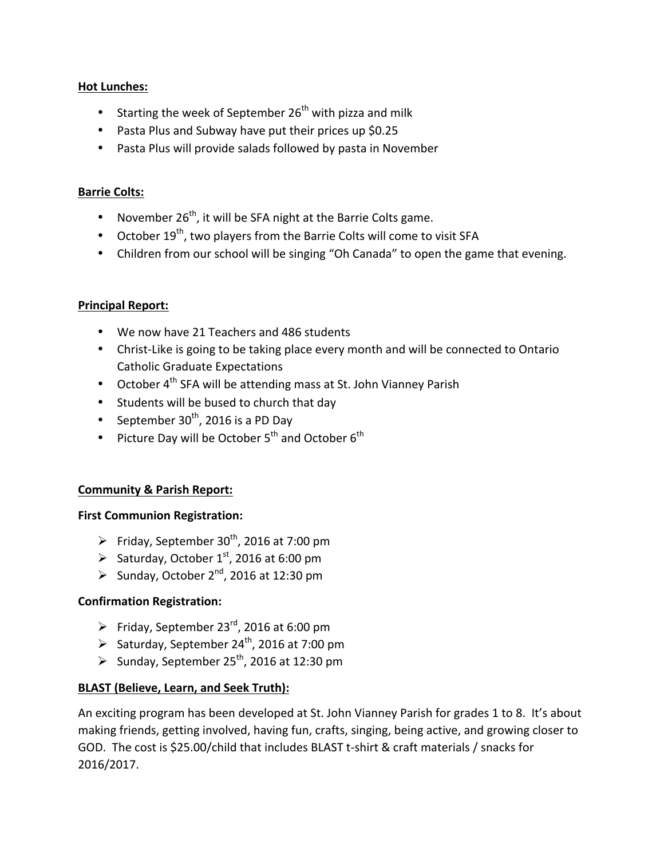# **Hot Lunches:**

- Starting the week of September  $26^{th}$  with pizza and milk
- Pasta Plus and Subway have put their prices up \$0.25
- Pasta Plus will provide salads followed by pasta in November

#### **Barrie Colts:**

- November  $26<sup>th</sup>$ , it will be SFA night at the Barrie Colts game.
- October  $19^{th}$ , two players from the Barrie Colts will come to visit SFA
- Children from our school will be singing "Oh Canada" to open the game that evening.

## **Principal Report:**

- We now have 21 Teachers and 486 students
- Christ-Like is going to be taking place every month and will be connected to Ontario Catholic Graduate Expectations
- October  $4^{th}$  SFA will be attending mass at St. John Vianney Parish
- Students will be bused to church that day
- September  $30<sup>th</sup>$ , 2016 is a PD Day
- Picture Day will be October  $5^{th}$  and October  $6^{th}$

# **Community & Parish Report:**

#### **First Communion Registration:**

- Friday, September  $30^{th}$ , 2016 at 7:00 pm
- $\triangleright$  Saturday, October 1<sup>st</sup>, 2016 at 6:00 pm
- Sunday, October  $2^{nd}$ , 2016 at 12:30 pm

# **Confirmation Registration:**

- Friday, September 23<sup>rd</sup>, 2016 at 6:00 pm
- $\triangleright$  Saturday, September 24<sup>th</sup>, 2016 at 7:00 pm
- Sunday, September 25<sup>th</sup>, 2016 at 12:30 pm

# **BLAST** (Believe, Learn, and Seek Truth):

An exciting program has been developed at St. John Vianney Parish for grades 1 to 8. It's about making friends, getting involved, having fun, crafts, singing, being active, and growing closer to GOD. The cost is \$25.00/child that includes BLAST t-shirt & craft materials / snacks for 2016/2017.